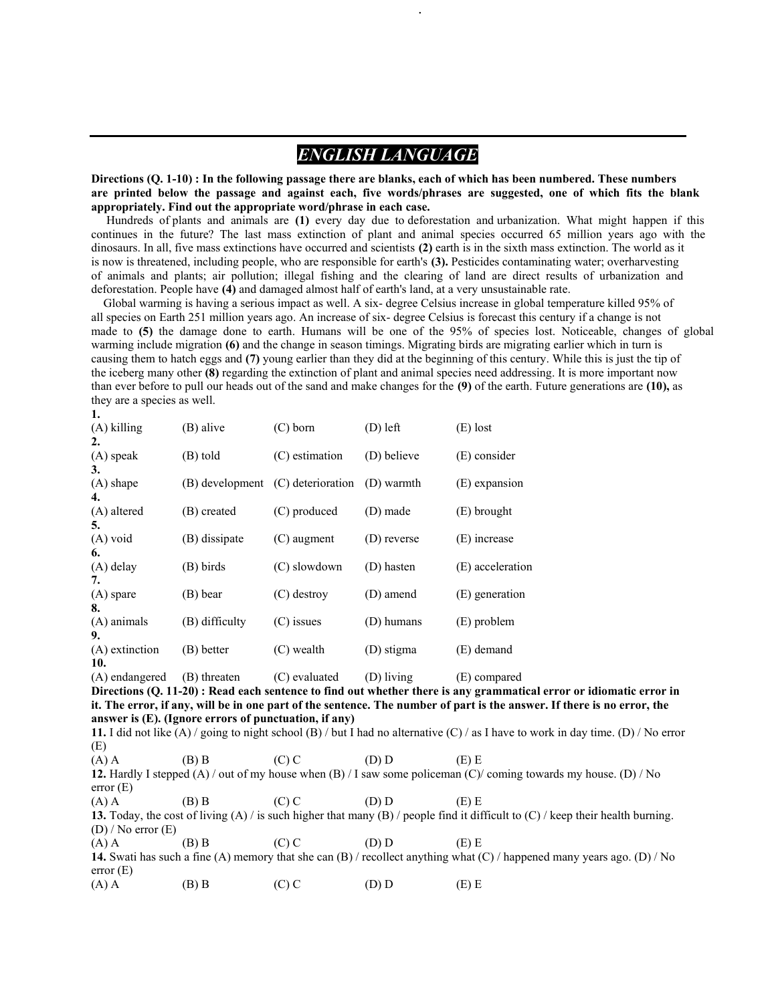# *ENGLISH LANGUAGE*

.

**Directions (Q. 1-10) : In the following passage there are blanks, each of which has been numbered. These numbers are printed below the passage and against each, five words/phrases are suggested, one of which fits the blank appropriately. Find out the appropriate word/phrase in each case.**

 Hundreds of plants and animals are **(1)** every day due to deforestation and urbanization. What might happen if this continues in the future? The last mass extinction of plant and animal species occurred 65 million years ago with the dinosaurs. In all, five mass extinctions have occurred and scientists **(2)** earth is in the sixth mass extinction. The world as it is now is threatened, including people, who are responsible for earth's **(3).** Pesticides contaminating water; overharvesting of animals and plants; air pollution; illegal fishing and the clearing of land are direct results of urbanization and deforestation. People have **(4)** and damaged almost half of earth's land, at a very unsustainable rate.

 Global warming is having a serious impact as well. A six- degree Celsius increase in global temperature killed 95% of all species on Earth 251 million years ago. An increase of six- degree Celsius is forecast this century if a change is not made to **(5)** the damage done to earth. Humans will be one of the 95% of species lost. Noticeable, changes of global warming include migration **(6)** and the change in season timings. Migrating birds are migrating earlier which in turn is causing them to hatch eggs and **(7)** young earlier than they did at the beginning of this century. While this is just the tip of the iceberg many other **(8)** regarding the extinction of plant and animal species need addressing. It is more important now than ever before to pull our heads out of the sand and make changes for the **(9)** of the earth. Future generations are **(10),** as they are a species as well.

| 1.                                                                                                                                  |                                                       |                   |             |                                                                                                                                     |  |
|-------------------------------------------------------------------------------------------------------------------------------------|-------------------------------------------------------|-------------------|-------------|-------------------------------------------------------------------------------------------------------------------------------------|--|
| (A) killing                                                                                                                         | (B) alive                                             | $(C)$ born        | $(D)$ left  | $(E)$ lost                                                                                                                          |  |
| 2.                                                                                                                                  |                                                       |                   |             |                                                                                                                                     |  |
| (A) speak<br>3.                                                                                                                     | (B) told                                              | $(C)$ estimation  | (D) believe | (E) consider                                                                                                                        |  |
| (A) shape<br>4.                                                                                                                     | (B) development                                       | (C) deterioration | (D) warmth  | (E) expansion                                                                                                                       |  |
| (A) altered                                                                                                                         | (B) created                                           | (C) produced      | (D) made    | (E) brought                                                                                                                         |  |
| 5.<br>(A) void<br>6.                                                                                                                | (B) dissipate                                         | $(C)$ augment     | (D) reverse | (E) increase                                                                                                                        |  |
| (A) delay<br>7.                                                                                                                     | (B) birds                                             | (C) slowdown      | (D) hasten  | (E) acceleration                                                                                                                    |  |
| (A) spare<br>8.                                                                                                                     | (B) bear                                              | $(C)$ destroy     | (D) amend   | (E) generation                                                                                                                      |  |
| (A) animals<br>9.                                                                                                                   | (B) difficulty                                        | $(C)$ issues      | (D) humans  | (E) problem                                                                                                                         |  |
| (A) extinction<br>10.                                                                                                               | (B) better                                            | $(C)$ wealth      | (D) stigma  | (E) demand                                                                                                                          |  |
| (A) endangered                                                                                                                      | (B) threaten                                          | (C) evaluated     | (D) living  | (E) compared                                                                                                                        |  |
|                                                                                                                                     |                                                       |                   |             | Directions (Q. 11-20): Read each sentence to find out whether there is any grammatical error or idiomatic error in                  |  |
|                                                                                                                                     |                                                       |                   |             | it. The error, if any, will be in one part of the sentence. The number of part is the answer. If there is no error, the             |  |
|                                                                                                                                     | answer is (E). (Ignore errors of punctuation, if any) |                   |             |                                                                                                                                     |  |
|                                                                                                                                     |                                                       |                   |             | 11. I did not like (A) / going to night school (B) / but I had no alternative (C) / as I have to work in day time. (D) / No error   |  |
| (E)                                                                                                                                 |                                                       |                   |             |                                                                                                                                     |  |
| $(A)$ A                                                                                                                             | $(B)$ B                                               | $(C)$ C           | (D) D       | $(E)$ E                                                                                                                             |  |
| error(E)                                                                                                                            |                                                       |                   |             | 12. Hardly I stepped (A) / out of my house when (B) / I saw some policeman (C) coming towards my house. (D) / No                    |  |
| $(A)$ A                                                                                                                             | $(B)$ B                                               | $(C)$ C           | (D) D       | $(E)$ E                                                                                                                             |  |
|                                                                                                                                     |                                                       |                   |             | 13. Today, the cost of living $(A)$ is such higher that many $(B)$ / people find it difficult to $(C)$ / keep their health burning. |  |
| $(D)$ / No error $(E)$                                                                                                              |                                                       |                   |             |                                                                                                                                     |  |
| $(A)$ A                                                                                                                             | $(B)$ B                                               | $(C)$ C           | (D) D       | $(E)$ E                                                                                                                             |  |
|                                                                                                                                     |                                                       |                   |             |                                                                                                                                     |  |
| 14. Swati has such a fine (A) memory that she can (B) / recollect anything what (C) / happened many years ago. (D) / No<br>error(E) |                                                       |                   |             |                                                                                                                                     |  |
| $(A)$ A                                                                                                                             | $(B)$ B                                               | $(C)$ C           | (D) D       | $(E)$ E                                                                                                                             |  |
|                                                                                                                                     |                                                       |                   |             |                                                                                                                                     |  |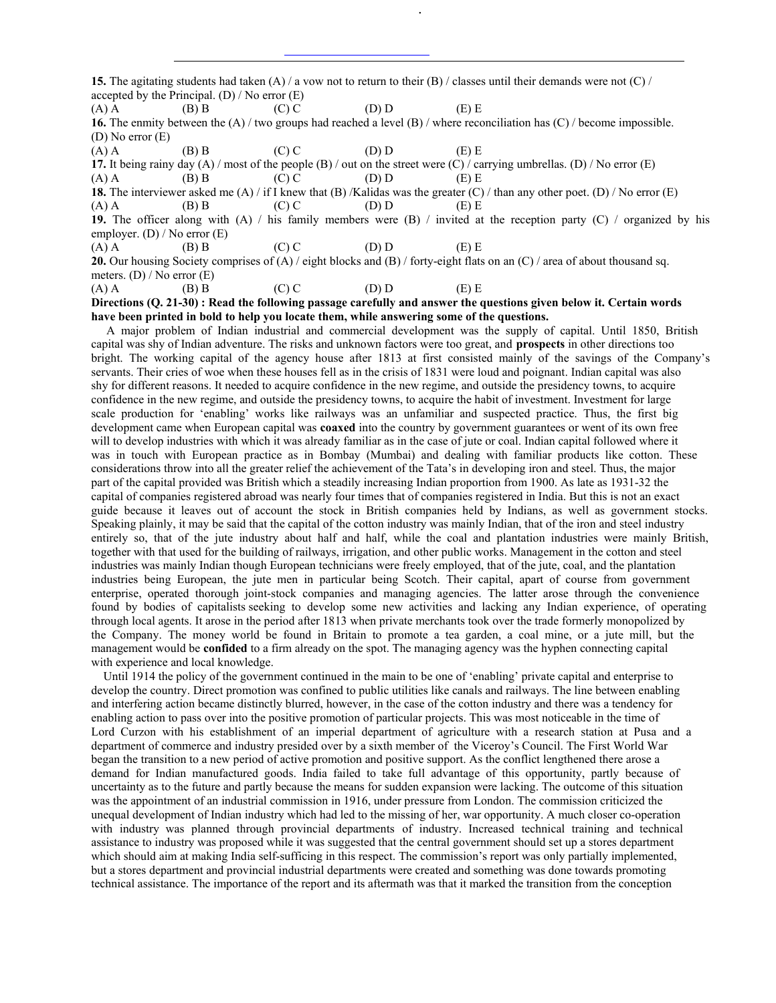**15.** The agitating students had taken (A) / a vow not to return to their (B) / classes until their demands were not (C) / accepted by the Principal.  $(D)$  / No error  $(E)$ 

(A) A (B) B (C) C (D) D (E) E **16.** The enmity between the (A) / two groups had reached a level (B) / where reconciliation has (C) / become impossible. (D) No error (E)

.

(A) A (B) B (C) C (D) D (E) E

**17.** It being rainy day (A) / most of the people (B) / out on the street were (C) / carrying umbrellas. (D) / No error (E) (A) A (B) B (C) C (D) D (E) E

**18.** The interviewer asked me (A) / if I knew that (B) /Kalidas was the greater (C) / than any other poet. (D) / No error (E) (A) A (B) B (C) C (D) D (E) E

**19.** The officer along with (A) / his family members were (B) / invited at the reception party (C) / organized by his employer. (D) / No error (E)

(A) A (B) B (C) C (D) D (E) E

**20.** Our housing Society comprises of (A) / eight blocks and (B) / forty-eight flats on an (C) / area of about thousand sq. meters. (D) / No error (E)<br>(A) A (B) B

(A) A (B) B (C) C (D) D (E) E

**Directions (Q. 21-30) : Read the following passage carefully and answer the questions given below it. Certain words have been printed in bold to help you locate them, while answering some of the questions.**

 A major problem of Indian industrial and commercial development was the supply of capital. Until 1850, British capital was shy of Indian adventure. The risks and unknown factors were too great, and **prospects** in other directions too bright. The working capital of the agency house after 1813 at first consisted mainly of the savings of the Company's servants. Their cries of woe when these houses fell as in the crisis of 1831 were loud and poignant. Indian capital was also shy for different reasons. It needed to acquire confidence in the new regime, and outside the presidency towns, to acquire confidence in the new regime, and outside the presidency towns, to acquire the habit of investment. Investment for large scale production for 'enabling' works like railways was an unfamiliar and suspected practice. Thus, the first big development came when European capital was **coaxed** into the country by government guarantees or went of its own free will to develop industries with which it was already familiar as in the case of jute or coal. Indian capital followed where it was in touch with European practice as in Bombay (Mumbai) and dealing with familiar products like cotton. These considerations throw into all the greater relief the achievement of the Tata's in developing iron and steel. Thus, the major part of the capital provided was British which a steadily increasing Indian proportion from 1900. As late as 1931-32 the capital of companies registered abroad was nearly four times that of companies registered in India. But this is not an exact guide because it leaves out of account the stock in British companies held by Indians, as well as government stocks. Speaking plainly, it may be said that the capital of the cotton industry was mainly Indian, that of the iron and steel industry entirely so, that of the jute industry about half and half, while the coal and plantation industries were mainly British, together with that used for the building of railways, irrigation, and other public works. Management in the cotton and steel industries was mainly Indian though European technicians were freely employed, that of the jute, coal, and the plantation industries being European, the jute men in particular being Scotch. Their capital, apart of course from government enterprise, operated thorough joint-stock companies and managing agencies. The latter arose through the convenience found by bodies of capitalists seeking to develop some new activities and lacking any Indian experience, of operating through local agents. It arose in the period after 1813 when private merchants took over the trade formerly monopolized by the Company. The money world be found in Britain to promote a tea garden, a coal mine, or a jute mill, but the management would be **confided** to a firm already on the spot. The managing agency was the hyphen connecting capital with experience and local knowledge.

 Until 1914 the policy of the government continued in the main to be one of 'enabling' private capital and enterprise to develop the country. Direct promotion was confined to public utilities like canals and railways. The line between enabling and interfering action became distinctly blurred, however, in the case of the cotton industry and there was a tendency for enabling action to pass over into the positive promotion of particular projects. This was most noticeable in the time of Lord Curzon with his establishment of an imperial department of agriculture with a research station at Pusa and a department of commerce and industry presided over by a sixth member of the Viceroy's Council. The First World War began the transition to a new period of active promotion and positive support. As the conflict lengthened there arose a demand for Indian manufactured goods. India failed to take full advantage of this opportunity, partly because of uncertainty as to the future and partly because the means for sudden expansion were lacking. The outcome of this situation was the appointment of an industrial commission in 1916, under pressure from London. The commission criticized the unequal development of Indian industry which had led to the missing of her, war opportunity. A much closer co-operation with industry was planned through provincial departments of industry. Increased technical training and technical assistance to industry was proposed while it was suggested that the central government should set up a stores department which should aim at making India self-sufficing in this respect. The commission's report was only partially implemented, but a stores department and provincial industrial departments were created and something was done towards promoting technical assistance. The importance of the report and its aftermath was that it marked the transition from the conception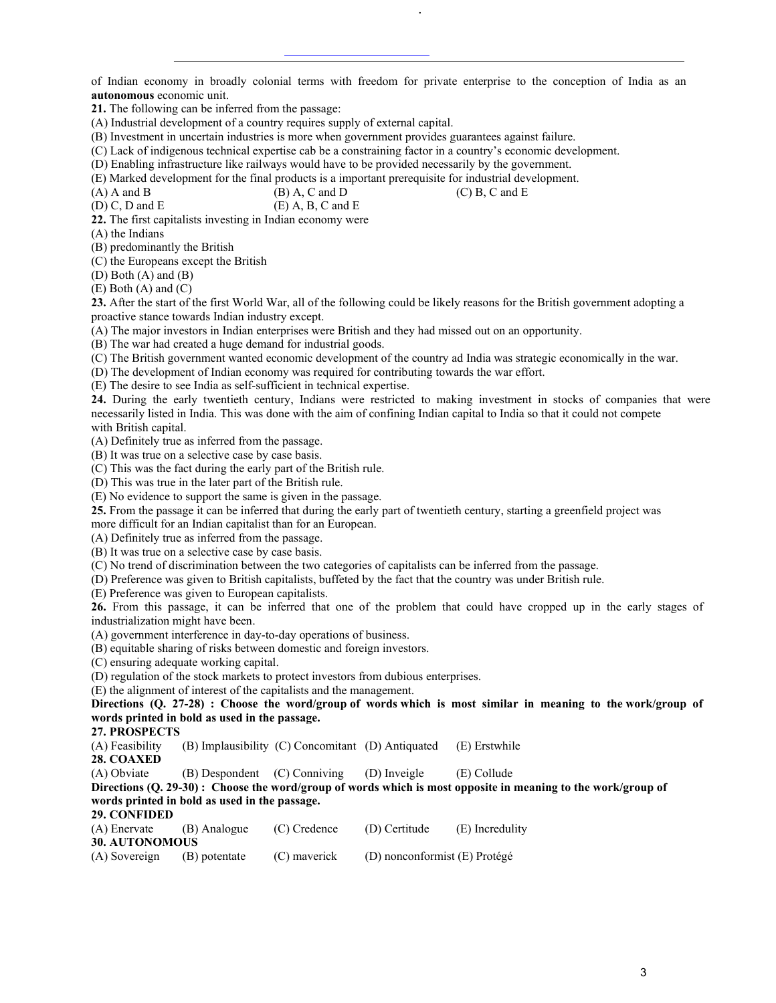of Indian economy in broadly colonial terms with freedom for private enterprise to the conception of India as an **autonomous** economic unit.

.

**21.** The following can be inferred from the passage:

(A) Industrial development of a country requires supply of external capital.

(B) Investment in uncertain industries is more when government provides guarantees against failure.

(C) Lack of indigenous technical expertise cab be a constraining factor in a country's economic development.

(D) Enabling infrastructure like railways would have to be provided necessarily by the government.

(E) Marked development for the final products is a important prerequisite for industrial development.<br>(A) A and B (C) B. C and E  $(B)$  A, C and D (C) B, C and E

 $(D)$  C, D and E (E) A, B, C and E

**22.** The first capitalists investing in Indian economy were

(A) the Indians

(B) predominantly the British

(C) the Europeans except the British

(D) Both (A) and (B)

(E) Both (A) and (C)

**23.** After the start of the first World War, all of the following could be likely reasons for the British government adopting a proactive stance towards Indian industry except.

(A) The major investors in Indian enterprises were British and they had missed out on an opportunity.

(B) The war had created a huge demand for industrial goods.

(C) The British government wanted economic development of the country ad India was strategic economically in the war.

(D) The development of Indian economy was required for contributing towards the war effort.

(E) The desire to see India as self-sufficient in technical expertise.

**24.** During the early twentieth century, Indians were restricted to making investment in stocks of companies that were necessarily listed in India. This was done with the aim of confining Indian capital to India so that it could not compete with British capital.

(A) Definitely true as inferred from the passage.

(B) It was true on a selective case by case basis.

(C) This was the fact during the early part of the British rule.

(D) This was true in the later part of the British rule.

(E) No evidence to support the same is given in the passage.

**25.** From the passage it can be inferred that during the early part of twentieth century, starting a greenfield project was

more difficult for an Indian capitalist than for an European.

(A) Definitely true as inferred from the passage.

(B) It was true on a selective case by case basis.

(C) No trend of discrimination between the two categories of capitalists can be inferred from the passage.

(D) Preference was given to British capitalists, buffeted by the fact that the country was under British rule.

(E) Preference was given to European capitalists.

**26.** From this passage, it can be inferred that one of the problem that could have cropped up in the early stages of industrialization might have been.

(A) government interference in day-to-day operations of business.

(B) equitable sharing of risks between domestic and foreign investors.

(C) ensuring adequate working capital.

(D) regulation of the stock markets to protect investors from dubious enterprises.

(E) the alignment of interest of the capitalists and the management.

**Directions (Q. 27-28) : Choose the word/group of words which is most similar in meaning to the work/group of words printed in bold as used in the passage.**

**27. PROSPECTS**

(A) Feasibility (B) Implausibility (C) Concomitant (D) Antiquated (E) Erstwhile

**28. COAXED**<br>(A) Obviate  $(B)$  Despondent  $(C)$  Conniving  $(D)$  Inveigle  $(E)$  Collude

**Directions (Q. 29-30) : Choose the word/group of words which is most opposite in meaning to the work/group of words printed in bold as used in the passage.**

**29. CONFIDED**

| (A) Enervate          | (B) Analogue  | (C) Credence | (D) Certitude                     | (E) Incredulity |
|-----------------------|---------------|--------------|-----------------------------------|-----------------|
| <b>30. AUTONOMOUS</b> |               |              |                                   |                 |
| (A) Sovereign         | (B) potentate | (C) mayerick | $(D)$ nonconformist $(E)$ Protégé |                 |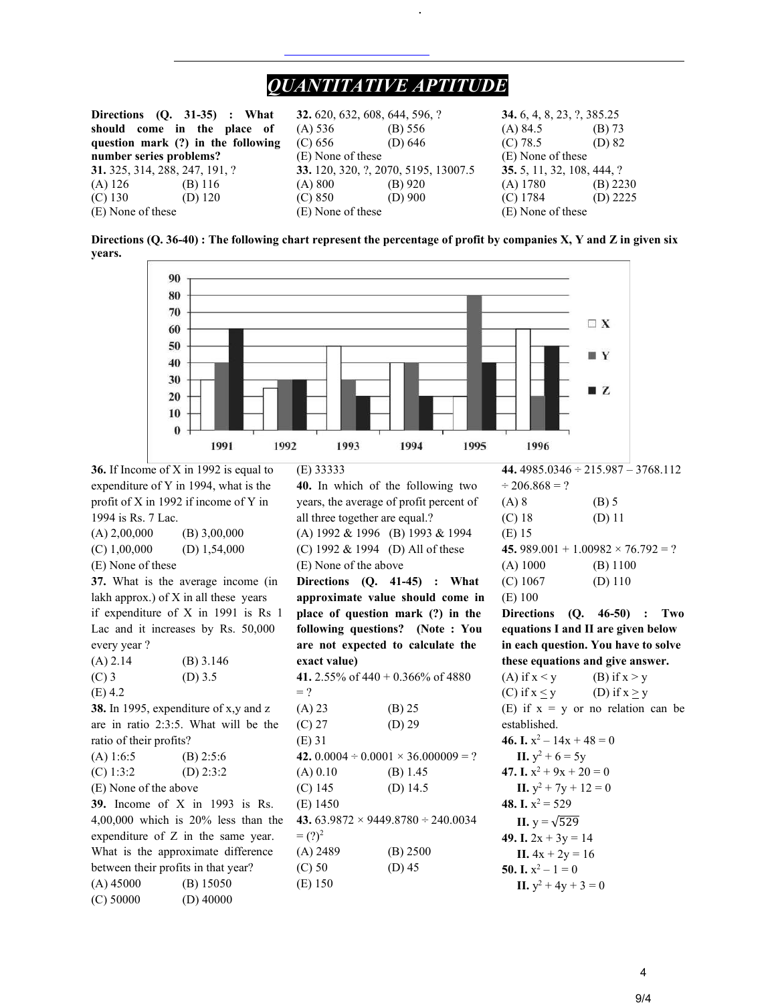# *QUANTITATIVE APTITUDE*

.

|                                | Directions $(Q. 31-35)$ : What     | <b>32.</b> 620, 632, 608, 644, 596, ? |           | <b>34.</b> 6, 4, 8, 23, ?, 385.25 |            |
|--------------------------------|------------------------------------|---------------------------------------|-----------|-----------------------------------|------------|
| should come in the place of    |                                    | (A) 536                               | (B) 556   | $(A)$ 84.5                        | (B) 73     |
|                                | question mark (?) in the following | (C) 656                               | (D) $646$ | (C) 78.5                          | $(D)$ 82   |
| number series problems?        |                                    | (E) None of these                     |           | (E) None of these                 |            |
| 31. 325, 314, 288, 247, 191, ? |                                    | 33. 120, 320, ?, 2070, 5195, 13007.5  |           | 35. 5, 11, 32, 108, 444, ?        |            |
| $(A)$ 126                      | (B) 116                            | (A) 800                               | $(B)$ 920 | $(A)$ 1780                        | $(B)$ 2230 |
| $(C)$ 130                      | (D) $120$                          | (C) 850                               | $(D)$ 900 | $(C)$ 1784                        | (D) $2225$ |
| (E) None of these              |                                    | (E) None of these                     |           | (E) None of these                 |            |

**Directions (Q. 36-40) : The following chart represent the percentage of profit by companies X, Y and Z in given six years.** 



**36.** If Income of X in 1992 is equal to expenditure of Y in 1994, what is the profit of X in 1992 if income of Y in 1994 is Rs. 7 Lac.  $(A) 2,00,000$  (B) 3,00,000 (C)  $1,00,000$  (D)  $1,54,000$ (E) None of these **37.** What is the average income (in lakh approx.) of  $X$  in all these years if expenditure of X in 1991 is Rs 1 Lac and it increases by Rs. 50,000 every year ?  $(A)$  2.14  $(B)$  3.146  $(C)$  3 (D) 3.5 (E) 4.2 **38.** In 1995, expenditure of x,y and z are in ratio 2:3:5. What will be the ratio of their profits? (A)  $1:6:5$  (B)  $2:5:6$ (C)  $1:3:2$  (D)  $2:3:2$ (E) None of the above **39.** Income of X in 1993 is Rs. 4,00,000 which is 20% less than the expenditure of Z in the same year. What is the approximate difference between their profits in that year? (A) 45000 (B) 15050 (C) 50000 (D) 40000

(E) 33333 **40.** In which of the following two years, the average of profit percent of all three together are equal.? (A) 1992 & 1996 (B) 1993 & 1994 (C) 1992 & 1994 (D) All of these (E) None of the above **Directions (Q. 41-45) : What approximate value should come in place of question mark (?) in the following questions? (Note : You are not expected to calculate the exact value) 41.** 2.55% of 440 + 0.366% of 4880  $= ?$  $(A) 23$  (B) 25  $(C) 27$   $(D) 29$ (E) 31 **42.**  $0.0004 \div 0.0001 \times 36.000009 = ?$  $(A) 0.10$  (B) 1.45 (C) 145 (D) 14.5 (E) 1450 **43.** 63.9872 × 9449.8780 ÷ 240.0034  $= (?)^2$ (A) 2489 (B) 2500 (C) 50 (D) 45 (E) 150

**44.** 4985.0346 ÷ 215.987 – 3768.112  $\div$  206.868 = ?  $(A) 8$  (B) 5 (C) 18 (D) 11 (E) 15 **45.**  $989.001 + 1.00982 \times 76.792 = ?$ (A) 1000 (B) 1100  $(C)$  1067 (D) 110 (E) 100

**Directions (Q. 46-50) : Two equations I and II are given below in each question. You have to solve these equations and give answer.** 

(A) if  $x < y$  (B) if  $x > y$ (C) if  $x \le y$  (D) if  $x \ge y$ (E) if  $x = y$  or no relation can be established. **46. I.**  $x^2 - 14x + 48 = 0$ **II.**  $y^2 + 6 = 5y$ **47. I.**  $x^2 + 9x + 20 = 0$ **II.**  $y^2 + 7y + 12 = 0$ **48. I.**  $x^2 = 529$ **II.**  $y = \sqrt{529}$ 49. I.  $2x + 3y = 14$ **II.**  $4x + 2y = 16$ **50. I.**  $x^2 - 1 = 0$ **II.**  $y^2 + 4y + 3 = 0$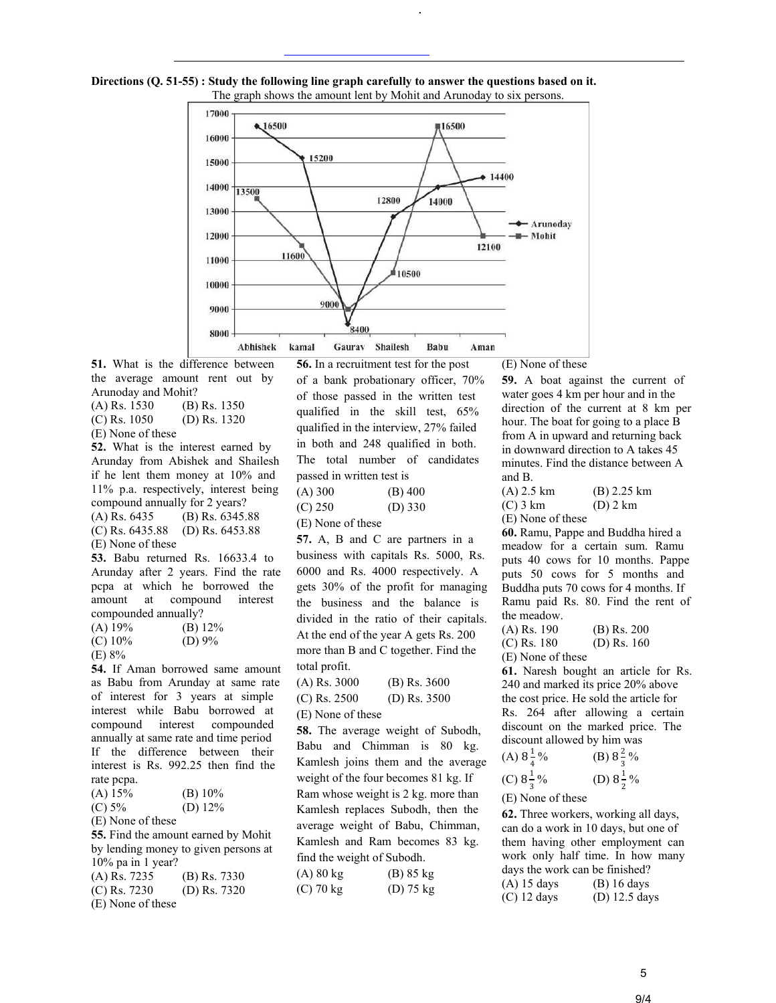

.



**51.** What is the difference between the average amount rent out by Arunoday and Mohit?

(A) Rs. 1530 (B) Rs. 1350 (C) Rs. 1050 (D) Rs. 1320

(E) None of these **52.** What is the interest earned by

Arunday from Abishek and Shailesh if he lent them money at 10% and 11% p.a. respectively, interest being compound annually for 2 years? (A) Rs. 6435 (B) Rs. 6345.88 (C) Rs. 6435.88 (D) Rs. 6453.88 (E) None of these

**53.** Babu returned Rs. 16633.4 to Arunday after 2 years. Find the rate pcpa at which he borrowed the amount at compound interest compounded annually?

| $(A)$ 19% | (B) $12\%$ |
|-----------|------------|
| $(C)$ 10% | (D) $9\%$  |

(E) 8%

**54.** If Aman borrowed same amount as Babu from Arunday at same rate of interest for 3 years at simple interest while Babu borrowed at compound interest compounded annually at same rate and time period If the difference between their interest is Rs. 992.25 then find the rate pcpa.

| $(A)$ 15%                            | $(B)$ 10%  |
|--------------------------------------|------------|
| (C) 5%                               | (D) $12\%$ |
| (E) None of these                    |            |
| <b>55.</b> Find the amount earned by |            |

<sup>*r*</sup> Mohit by lending money to given persons at 10% pa in 1 year? (A) Rs. 7235 (B) Rs. 7330

| $(1 - 1)$ $1 - 100$ |                |
|---------------------|----------------|
| $(C)$ Rs. 7230      | (D) Rs. $7320$ |
| (E) None of these   |                |

**56.** In a recruitment test for the post of a bank probationary officer, 70% of those passed in the written test qualified in the skill test, 65% qualified in the interview, 27% failed in both and 248 qualified in both. The total number of candidates passed in written test is

 $(A) 300$  (B) 400

 $(C) 250$   $(D) 330$ 

(E) None of these

**57.** A, B and C are partners in a business with capitals Rs. 5000, Rs. 6000 and Rs. 4000 respectively. A gets 30% of the profit for managing the business and the balance is divided in the ratio of their capitals. At the end of the year A gets Rs. 200 more than B and C together. Find the total profit.

(A) Rs. 3000 (B) Rs. 3600 (C) Rs. 2500 (D) Rs. 3500

(E) None of these

**58.** The average weight of Subodh, Babu and Chimman is 80 kg. Kamlesh joins them and the average weight of the four becomes 81 kg. If Ram whose weight is 2 kg. more than Kamlesh replaces Subodh, then the average weight of Babu, Chimman, Kamlesh and Ram becomes 83 kg. find the weight of Subodh.

| (A) 80 kg | (B) 85 kg           |
|-----------|---------------------|
| (C) 70 kg | (D) $75 \text{ kg}$ |

(E) None of these

**59.** A boat against the current of water goes 4 km per hour and in the direction of the current at 8 km per hour. The boat for going to a place B from A in upward and returning back in downward direction to A takes 45 minutes. Find the distance between A and B.

(A) 2.5 km (B) 2.25 km (C) 3 km (D) 2 km (E) None of these

**60.** Ramu, Pappe and Buddha hired a meadow for a certain sum. Ramu puts 40 cows for 10 months. Pappe puts 50 cows for 5 months and Buddha puts 70 cows for 4 months. If Ramu paid Rs. 80. Find the rent of the meadow.

(A) Rs. 190 (B) Rs. 200  $(C)$  Rs. 180  $(D)$  Rs. 160

(E) None of these

**61.** Naresh bought an article for Rs. 240 and marked its price 20% above the cost price. He sold the article for Rs. 264 after allowing a certain discount on the marked price. The discount allowed by him was

(A)  $8\frac{1}{4}$ 4 % (B)  $8\frac{2}{3}$  $rac{2}{3}$ %

(C) 
$$
8\frac{1}{3}\%
$$
 (D)  $8\frac{1}{2}\%$ 

(E) None of these

**62.** Three workers, working all days, can do a work in 10 days, but one of them having other employment can work only half time. In how many days the work can be finished? (A) 15 days (B) 16 days (C) 12 days (D) 12.5 days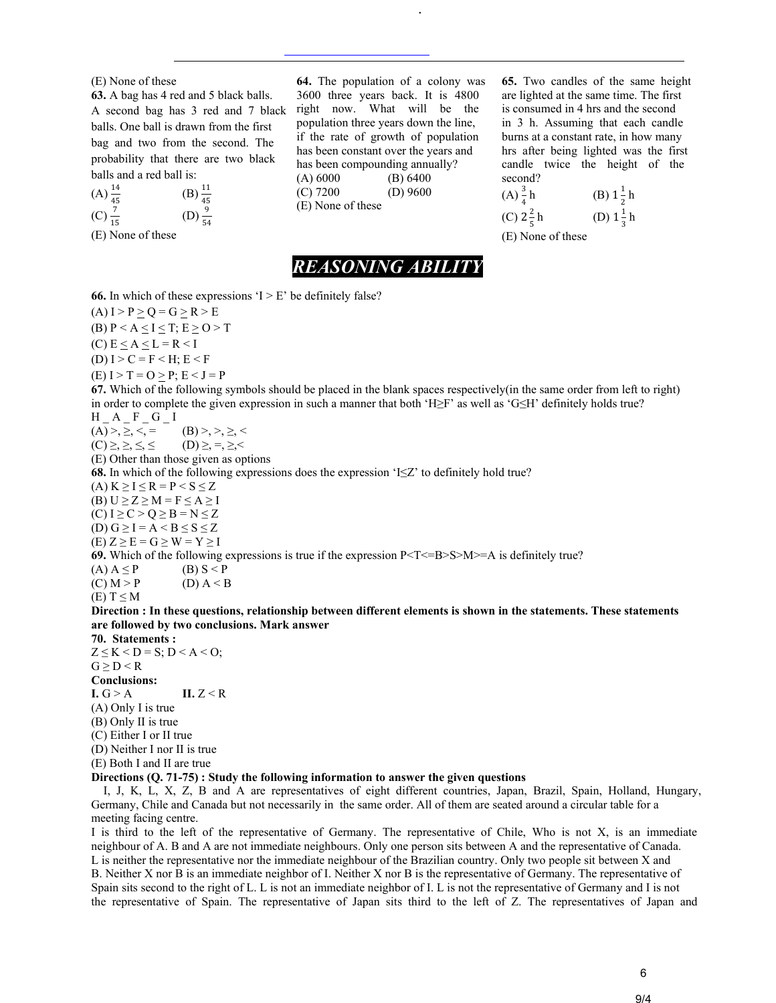#### (E) None of these

**63.** A bag has 4 red and 5 black balls. A second bag has 3 red and 7 black balls. One ball is drawn from the first bag and two from the second. The probability that there are two black balls and a red ball is:

(A) 
$$
\frac{14}{45}
$$
  
\n(B)  $\frac{11}{45}$   
\n(C)  $\frac{7}{15}$   
\n(D)  $\frac{9}{54}$ 

(E) None of these

**64.** The population of a colony was 3600 three years back. It is 4800 right now. What will be the population three years down the line, if the rate of growth of population has been constant over the years and has been compounding annually? (A) 6000 (B) 6400 (C) 7200 (D) 9600 (E) None of these

.

**65.** Two candles of the same height are lighted at the same time. The first is consumed in 4 hrs and the second in 3 h. Assuming that each candle burns at a constant rate, in how many hrs after being lighted was the first candle twice the height of the second?

(A) 
$$
\frac{3}{4}
$$
 h  
\n(B)  $1\frac{1}{2}$  h  
\n(C)  $2\frac{2}{5}$  h  
\n(D)  $1\frac{1}{3}$  h

 $(E)$  None of these

# *REASONING ABILITY*

**66.** In which of these expressions  $I > E'$  be definitely false?

 $(A) I > P \ge Q = G \ge R > E$ (B)  $P < A \le I \le T$ ;  $E \ge O > T$  $(C) E < A < L = R < I$ (D)  $I > C = F < H$ ;  $E < F$  $(E) I > T = O > P$ ;  $E < J = P$ **67.** Which of the following symbols should be placed in the blank spaces respectively(in the same order from left to right) in order to complete the given expression in such a manner that both 'H≥F' as well as 'G≤H' definitely holds true?  $H$   $A$   $F$   $G$   $I$ (A) >, ≥, <, = (B) >, >, ≥, <  $(C) \geq, \geq, \leq, \leq$   $(D) \geq, =, \geq, <$ (E) Other than those given as options **68.** In which of the following expressions does the expression 'I≤Z' to definitely hold true? (A)  $K \ge I \le R = P \le S \le Z$ (B)  $U \ge Z \ge M = F \le A \ge I$  $(C) I \ge C > Q \ge B = N \le Z$ (D)  $G \ge I = A < B \le S \le Z$  $(E)$  Z  $\geq$  E = G  $\geq$  W = Y  $\geq$  I **69.** Which of the following expressions is true if the expression  $P < T < B> > N > A$  is definitely true? (A)  $A \leq P$  (B)  $S \leq P$  $(C) M > P$  (D)  $A < B$ (E)  $T \leq M$ **Direction : In these questions, relationship between different elements is shown in the statements. These statements are followed by two conclusions. Mark answer 70. Statements :**  $Z \leq K < D = S$ ;  $D < A < O$ ;  $G \geq D \leq R$ 

**Conclusions:** 

 $I. G > A$   $II. Z < R$ (A) Only I is true

(B) Only II is true

(C) Either I or II true

(D) Neither I nor II is true

(E) Both I and II are true

## **Directions (Q. 71-75) : Study the following information to answer the given questions**

 I, J, K, L, X, Z, B and A are representatives of eight different countries, Japan, Brazil, Spain, Holland, Hungary, Germany, Chile and Canada but not necessarily in the same order. All of them are seated around a circular table for a meeting facing centre.

I is third to the left of the representative of Germany. The representative of Chile, Who is not X, is an immediate neighbour of A. B and A are not immediate neighbours. Only one person sits between A and the representative of Canada. L is neither the representative nor the immediate neighbour of the Brazilian country. Only two people sit between X and B. Neither X nor B is an immediate neighbor of I. Neither X nor B is the representative of Germany. The representative of Spain sits second to the right of L. L is not an immediate neighbor of I. L is not the representative of Germany and I is not the representative of Spain. The representative of Japan sits third to the left of Z. The representatives of Japan and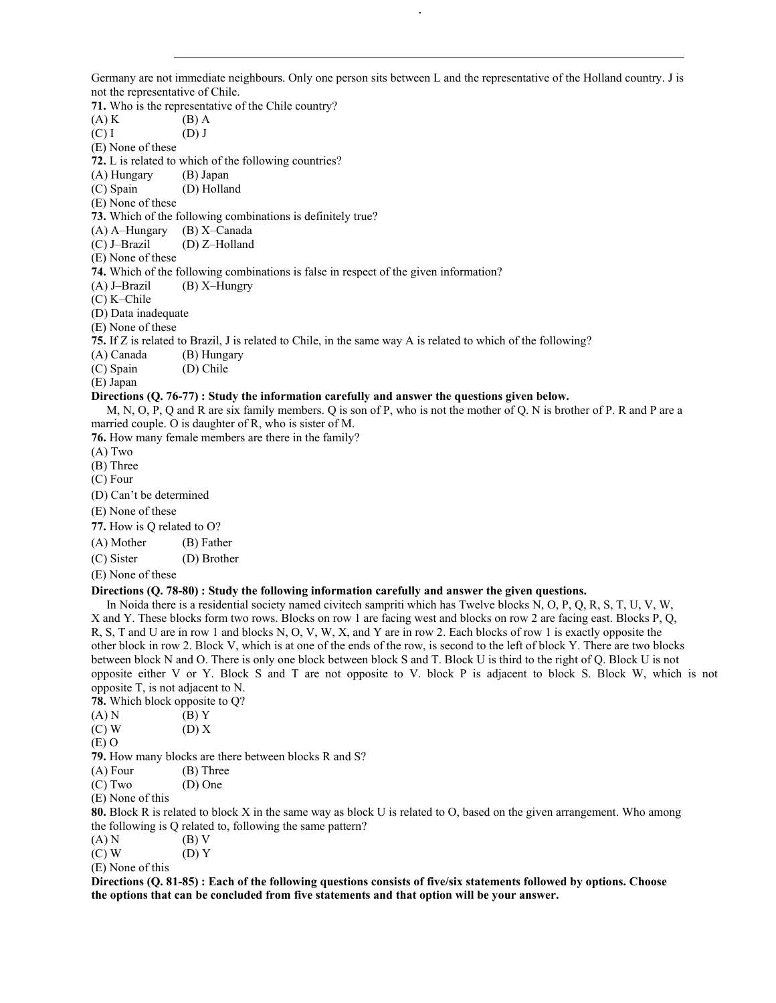Germany are not immediate neighbours. Only one person sits between L and the representative of the Holland country. J is not the representative of Chile.

.

**71.** Who is the representative of the Chile country?

 $(A) K$  (B) A

 $(C) I$  (D) J

(E) None of these

**72.** L is related to which of the following countries?

(A) Hungary (B) Japan

(C) Spain (D) Holland

(E) None of these

**73.** Which of the following combinations is definitely true?

(A) A–Hungary (B) X–Canada

(C) J–Brazil (D) Z–Holland

(E) None of these

**74.** Which of the following combinations is false in respect of the given information?

(A) J–Brazil (B) X–Hungry

(C) K–Chile

(D) Data inadequate

(E) None of these

**75.** If Z is related to Brazil, J is related to Chile, in the same way A is related to which of the following?

(A) Canada (B) Hungary<br>(C) Spain (D) Chile

 $(C)$  Spain

(E) Japan

#### **Directions (Q. 76-77) : Study the information carefully and answer the questions given below.**

 M, N, O, P, Q and R are six family members. Q is son of P, who is not the mother of Q. N is brother of P. R and P are a married couple. O is daughter of R, who is sister of M.

**76.** How many female members are there in the family?

(A) Two

(B) Three

(C) Four

(D) Can't be determined

(E) None of these

**77.** How is Q related to O?

(A) Mother (B) Father

(C) Sister (D) Brother

(E) None of these

### **Directions (Q. 78-80) : Study the following information carefully and answer the given questions.**

 In Noida there is a residential society named civitech sampriti which has Twelve blocks N, O, P, Q, R, S, T, U, V, W, X and Y. These blocks form two rows. Blocks on row 1 are facing west and blocks on row 2 are facing east. Blocks P, Q, R, S, T and U are in row 1 and blocks N, O, V, W, X, and Y are in row 2. Each blocks of row 1 is exactly opposite the other block in row 2. Block V, which is at one of the ends of the row, is second to the left of block Y. There are two blocks between block N and O. There is only one block between block S and T. Block U is third to the right of Q. Block U is not opposite either V or Y. Block S and T are not opposite to V. block P is adjacent to block S. Block W, which is not opposite T, is not adjacent to N.

**78.** Which block opposite to Q?

- $(A) N$  (B) Y
- $(C) W$  (D) X

(E) O

**79.** How many blocks are there between blocks R and S?

(A) Four (B) Three

(C) Two (D) One

(E) None of this

**80.** Block R is related to block X in the same way as block U is related to O, based on the given arrangement. Who among the following is Q related to, following the same pattern?

 $(A) N$  (B) V

 $(C) W$   $(D) Y$ 

(E) None of this

**Directions (Q. 81-85) : Each of the following questions consists of five/six statements followed by options. Choose the options that can be concluded from five statements and that option will be your answer.**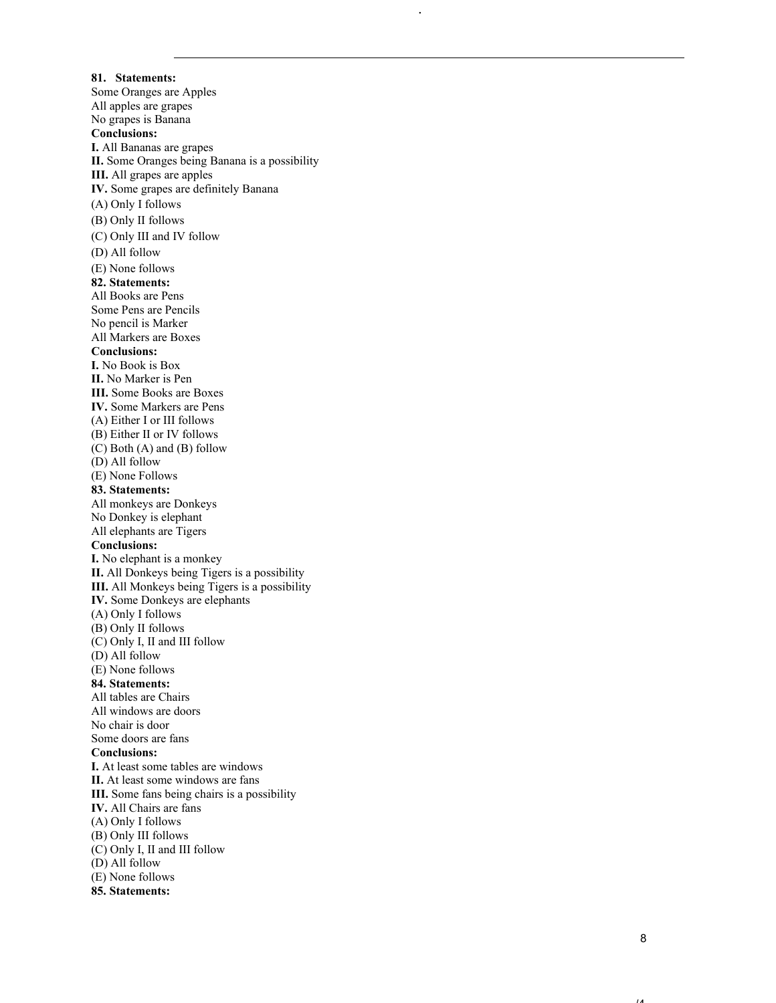**81. Statements:** Some Oranges are Apples All apples are grapes No grapes is Banana **Conclusions: I.** All Bananas are grapes **II.** Some Oranges being Banana is a possibility **III.** All grapes are apples **IV.** Some grapes are definitely Banana (A) Only I follows (B) Only II follows (C) Only III and IV follow (D) All follow (E) None follows **82. Statements:** All Books are Pens Some Pens are Pencils No pencil is Marker All Markers are Boxes **Conclusions: I.** No Book is Box **II.** No Marker is Pen **III.** Some Books are Boxes **IV.** Some Markers are Pens (A) Either I or III follows (B) Either II or IV follows (C) Both (A) and (B) follow (D) All follow (E) None Follows **83. Statements:** All monkeys are Donkeys No Donkey is elephant All elephants are Tigers **Conclusions: I.** No elephant is a monkey **II.** All Donkeys being Tigers is a possibility **III.** All Monkeys being Tigers is a possibility **IV.** Some Donkeys are elephants (A) Only I follows (B) Only II follows (C) Only I, II and III follow (D) All follow (E) None follows **84. Statements:** All tables are Chairs All windows are doors No chair is door Some doors are fans **Conclusions: I.** At least some tables are windows **II.** At least some windows are fans **III.** Some fans being chairs is a possibility **IV.** All Chairs are fans (A) Only I follows (B) Only III follows (C) Only I, II and III follow (D) All follow (E) None follows **85. Statements:**

.

 $\overline{A}$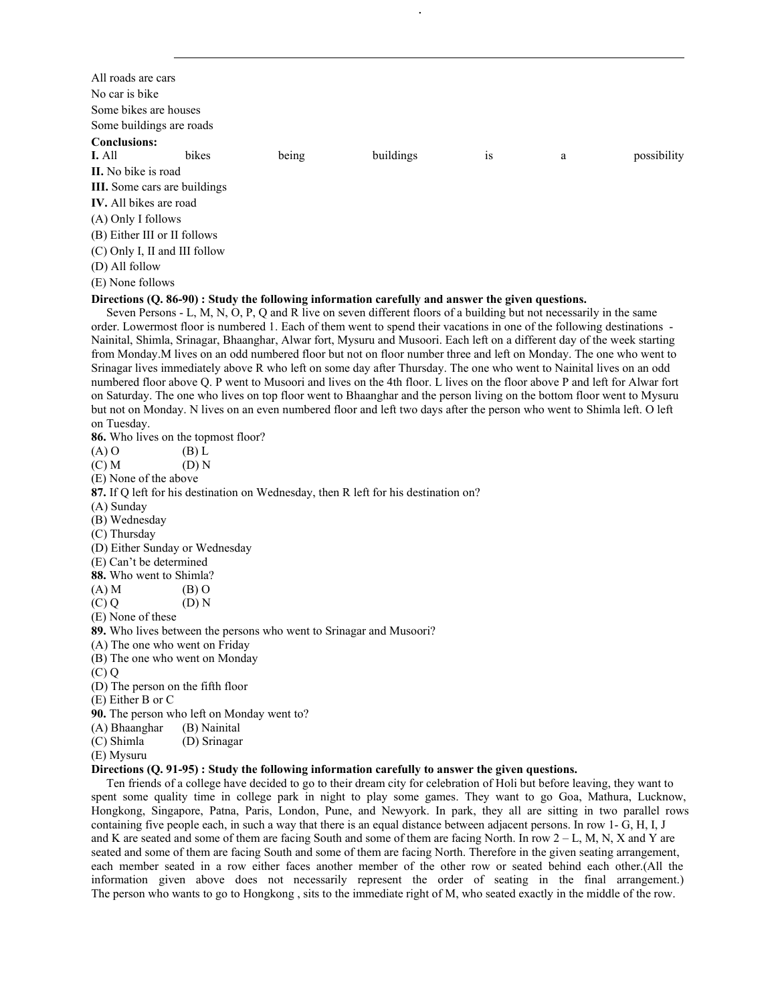| All roads are cars                                                                                          |                                                                     |       |                                                                                                                            |    |   |             |
|-------------------------------------------------------------------------------------------------------------|---------------------------------------------------------------------|-------|----------------------------------------------------------------------------------------------------------------------------|----|---|-------------|
| No car is bike                                                                                              |                                                                     |       |                                                                                                                            |    |   |             |
| Some bikes are houses                                                                                       |                                                                     |       |                                                                                                                            |    |   |             |
| Some buildings are roads                                                                                    |                                                                     |       |                                                                                                                            |    |   |             |
| <b>Conclusions:</b>                                                                                         |                                                                     |       |                                                                                                                            |    |   |             |
| I. All                                                                                                      | bikes                                                               | being | buildings                                                                                                                  | is | a | possibility |
| II. No bike is road                                                                                         |                                                                     |       |                                                                                                                            |    |   |             |
| III. Some cars are buildings                                                                                |                                                                     |       |                                                                                                                            |    |   |             |
| IV. All bikes are road                                                                                      |                                                                     |       |                                                                                                                            |    |   |             |
| (A) Only I follows                                                                                          |                                                                     |       |                                                                                                                            |    |   |             |
|                                                                                                             |                                                                     |       |                                                                                                                            |    |   |             |
| (B) Either III or II follows                                                                                |                                                                     |       |                                                                                                                            |    |   |             |
| (C) Only I, II and III follow                                                                               |                                                                     |       |                                                                                                                            |    |   |             |
| (D) All follow                                                                                              |                                                                     |       |                                                                                                                            |    |   |             |
| (E) None follows                                                                                            |                                                                     |       |                                                                                                                            |    |   |             |
|                                                                                                             |                                                                     |       | Directions (Q. 86-90) : Study the following information carefully and answer the given questions.                          |    |   |             |
|                                                                                                             |                                                                     |       | Seven Persons - L, M, N, O, P, Q and R live on seven different floors of a building but not necessarily in the same        |    |   |             |
|                                                                                                             |                                                                     |       | order. Lowermost floor is numbered 1. Each of them went to spend their vacations in one of the following destinations -    |    |   |             |
|                                                                                                             |                                                                     |       | Nainital, Shimla, Srinagar, Bhaanghar, Alwar fort, Mysuru and Musoori. Each left on a different day of the week starting   |    |   |             |
|                                                                                                             |                                                                     |       | from Monday. M lives on an odd numbered floor but not on floor number three and left on Monday. The one who went to        |    |   |             |
|                                                                                                             |                                                                     |       | Srinagar lives immediately above R who left on some day after Thursday. The one who went to Nainital lives on an odd       |    |   |             |
|                                                                                                             |                                                                     |       | numbered floor above Q. P went to Musoori and lives on the 4th floor. L lives on the floor above P and left for Alwar fort |    |   |             |
|                                                                                                             |                                                                     |       | on Saturday. The one who lives on top floor went to Bhaanghar and the person living on the bottom floor went to Mysuru     |    |   |             |
|                                                                                                             |                                                                     |       | but not on Monday. N lives on an even numbered floor and left two days after the person who went to Shimla left. O left    |    |   |             |
| on Tuesday.                                                                                                 |                                                                     |       |                                                                                                                            |    |   |             |
|                                                                                                             | 86. Who lives on the topmost floor?                                 |       |                                                                                                                            |    |   |             |
| $(A)$ O                                                                                                     | $(B)$ L                                                             |       |                                                                                                                            |    |   |             |
| (C) M                                                                                                       | (D) N                                                               |       |                                                                                                                            |    |   |             |
| (E) None of the above                                                                                       |                                                                     |       |                                                                                                                            |    |   |             |
|                                                                                                             |                                                                     |       | 87. If Q left for his destination on Wednesday, then R left for his destination on?                                        |    |   |             |
| (A) Sunday                                                                                                  |                                                                     |       |                                                                                                                            |    |   |             |
| (B) Wednesday                                                                                               |                                                                     |       |                                                                                                                            |    |   |             |
| (C) Thursday                                                                                                |                                                                     |       |                                                                                                                            |    |   |             |
| (D) Either Sunday or Wednesday                                                                              |                                                                     |       |                                                                                                                            |    |   |             |
| (E) Can't be determined<br>88. Who went to Shimla?                                                          |                                                                     |       |                                                                                                                            |    |   |             |
| $(A)$ M                                                                                                     | $(B)$ O                                                             |       |                                                                                                                            |    |   |             |
| (C)Q                                                                                                        | (D) N                                                               |       |                                                                                                                            |    |   |             |
| (E) None of these                                                                                           |                                                                     |       |                                                                                                                            |    |   |             |
|                                                                                                             | 89. Who lives between the persons who went to Srinagar and Musoori? |       |                                                                                                                            |    |   |             |
| (A) The one who went on Friday                                                                              |                                                                     |       |                                                                                                                            |    |   |             |
| (B) The one who went on Monday                                                                              |                                                                     |       |                                                                                                                            |    |   |             |
| (C) Q                                                                                                       |                                                                     |       |                                                                                                                            |    |   |             |
| (D) The person on the fifth floor                                                                           |                                                                     |       |                                                                                                                            |    |   |             |
| (E) Either B or C                                                                                           |                                                                     |       |                                                                                                                            |    |   |             |
|                                                                                                             | 90. The person who left on Monday went to?                          |       |                                                                                                                            |    |   |             |
| (A) Bhaanghar<br>(B) Nainital                                                                               |                                                                     |       |                                                                                                                            |    |   |             |
| (C) Shimla                                                                                                  | (D) Srinagar                                                        |       |                                                                                                                            |    |   |             |
| (E) Mysuru                                                                                                  |                                                                     |       |                                                                                                                            |    |   |             |
|                                                                                                             |                                                                     |       | Directions (Q. 91-95) : Study the following information carefully to answer the given questions.                           |    |   |             |
|                                                                                                             |                                                                     |       | Ten friends of a college have decided to go to their dream city for celebration of Holi but before leaving, they want to   |    |   |             |
| spent some quality time in college park in night to play some games. They want to go Goa, Mathura, Lucknow, |                                                                     |       |                                                                                                                            |    |   |             |

.

spent some quality time in college park in night to play some games. They want to go Goa, Mathura, Lucknow, Hongkong, Singapore, Patna, Paris, London, Pune, and Newyork. In park, they all are sitting in two parallel rows containing five people each, in such a way that there is an equal distance between adjacent persons. In row 1- G, H, I, J and K are seated and some of them are facing South and some of them are facing North. In row  $2 - L$ , M, N, X and Y are seated and some of them are facing South and some of them are facing North. Therefore in the given seating arrangement, each member seated in a row either faces another member of the other row or seated behind each other.(All the information given above does not necessarily represent the order of seating in the final arrangement.) The person who wants to go to Hongkong , sits to the immediate right of M, who seated exactly in the middle of the row.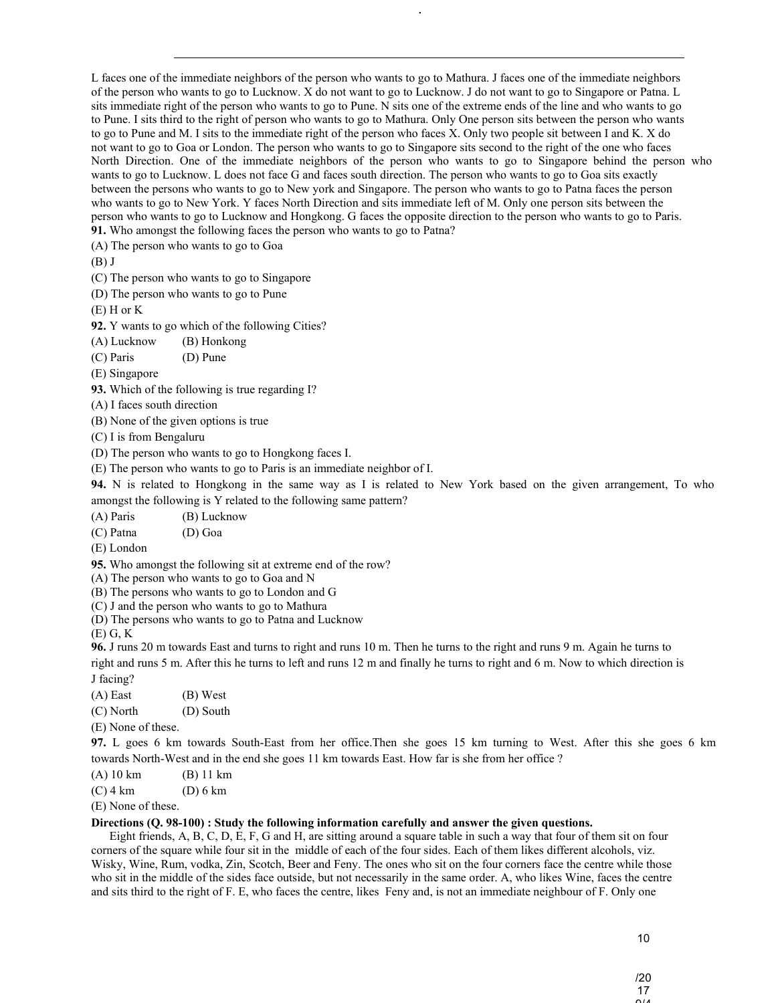L faces one of the immediate neighbors of the person who wants to go to Mathura. J faces one of the immediate neighbors of the person who wants to go to Lucknow. X do not want to go to Lucknow. J do not want to go to Singapore or Patna. L sits immediate right of the person who wants to go to Pune. N sits one of the extreme ends of the line and who wants to go to Pune. I sits third to the right of person who wants to go to Mathura. Only One person sits between the person who wants to go to Pune and M. I sits to the immediate right of the person who faces X. Only two people sit between I and K. X do not want to go to Goa or London. The person who wants to go to Singapore sits second to the right of the one who faces North Direction. One of the immediate neighbors of the person who wants to go to Singapore behind the person who wants to go to Lucknow. L does not face G and faces south direction. The person who wants to go to Goa sits exactly between the persons who wants to go to New york and Singapore. The person who wants to go to Patna faces the person who wants to go to New York. Y faces North Direction and sits immediate left of M. Only one person sits between the person who wants to go to Lucknow and Hongkong. G faces the opposite direction to the person who wants to go to Paris. **91.** Who amongst the following faces the person who wants to go to Patna?

.

(A) The person who wants to go to Goa

(B) J

(C) The person who wants to go to Singapore

(D) The person who wants to go to Pune

 $(E)$  H or K

**92.** Y wants to go which of the following Cities?

(A) Lucknow (B) Honkong

(C) Paris (D) Pune

(E) Singapore

**93.** Which of the following is true regarding I?

(A) I faces south direction

(B) None of the given options is true

(C) I is from Bengaluru

(D) The person who wants to go to Hongkong faces I.

(E) The person who wants to go to Paris is an immediate neighbor of I.

**94.** N is related to Hongkong in the same way as I is related to New York based on the given arrangement, To who amongst the following is Y related to the following same pattern?

(A) Paris (B) Lucknow

(C) Patna (D) Goa

(E) London

**95.** Who amongst the following sit at extreme end of the row?

(A) The person who wants to go to Goa and N

(B) The persons who wants to go to London and G

(C) J and the person who wants to go to Mathura

(D) The persons who wants to go to Patna and Lucknow

(E) G, K

**96.** J runs 20 m towards East and turns to right and runs 10 m. Then he turns to the right and runs 9 m. Again he turns to right and runs 5 m. After this he turns to left and runs 12 m and finally he turns to right and 6 m. Now to which direction is J facing?

(A) East (B) West

(C) North (D) South

(E) None of these.

**97.** L goes 6 km towards South-East from her office.Then she goes 15 km turning to West. After this she goes 6 km towards North-West and in the end she goes 11 km towards East. How far is she from her office ?

(A) 10 km (B) 11 km

(C) 4 km (D) 6 km

(E) None of these.

## **Directions (Q. 98-100) : Study the following information carefully and answer the given questions.**

 Eight friends, A, B, C, D, E, F, G and H, are sitting around a square table in such a way that four of them sit on four corners of the square while four sit in the middle of each of the four sides. Each of them likes different alcohols, viz. Wisky, Wine, Rum, vodka, Zin, Scotch, Beer and Feny. The ones who sit on the four corners face the centre while those who sit in the middle of the sides face outside, but not necessarily in the same order. A, who likes Wine, faces the centre and sits third to the right of F. E, who faces the centre, likes Feny and, is not an immediate neighbour of F. Only one